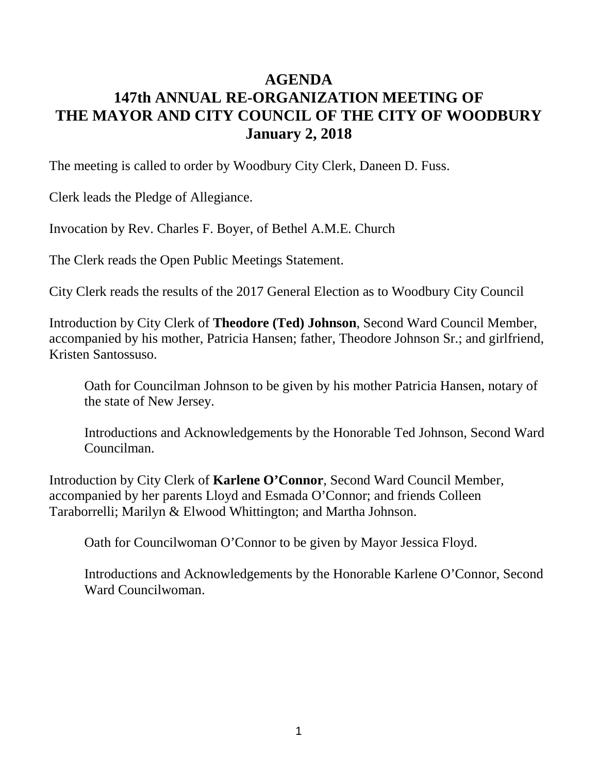## **AGENDA 147th ANNUAL RE-ORGANIZATION MEETING OF THE MAYOR AND CITY COUNCIL OF THE CITY OF WOODBURY January 2, 2018**

The meeting is called to order by Woodbury City Clerk, Daneen D. Fuss.

Clerk leads the Pledge of Allegiance.

Invocation by Rev. Charles F. Boyer, of Bethel A.M.E. Church

The Clerk reads the Open Public Meetings Statement.

City Clerk reads the results of the 2017 General Election as to Woodbury City Council

Introduction by City Clerk of **Theodore (Ted) Johnson**, Second Ward Council Member, accompanied by his mother, Patricia Hansen; father, Theodore Johnson Sr.; and girlfriend, Kristen Santossuso.

Oath for Councilman Johnson to be given by his mother Patricia Hansen, notary of the state of New Jersey.

Introductions and Acknowledgements by the Honorable Ted Johnson, Second Ward Councilman.

Introduction by City Clerk of **Karlene O'Connor**, Second Ward Council Member, accompanied by her parents Lloyd and Esmada O'Connor; and friends Colleen Taraborrelli; Marilyn & Elwood Whittington; and Martha Johnson.

Oath for Councilwoman O'Connor to be given by Mayor Jessica Floyd.

Introductions and Acknowledgements by the Honorable Karlene O'Connor, Second Ward Councilwoman.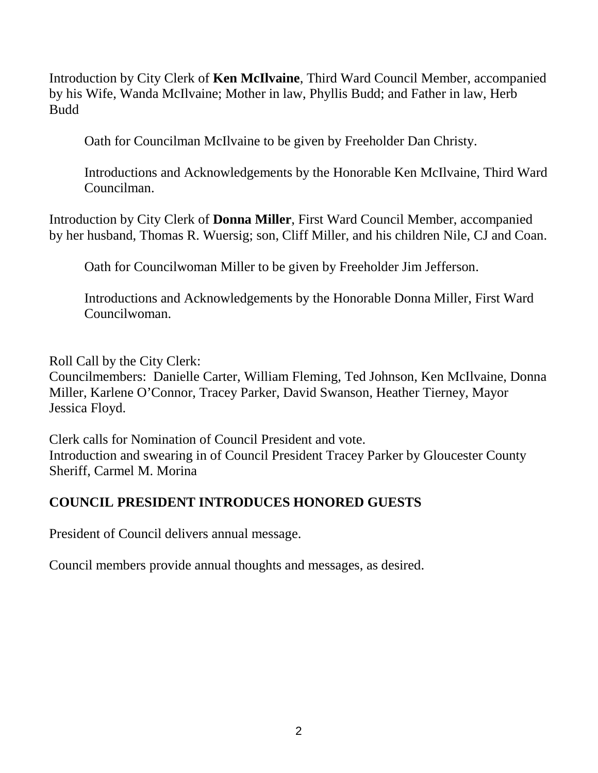Introduction by City Clerk of **Ken McIlvaine**, Third Ward Council Member, accompanied by his Wife, Wanda McIlvaine; Mother in law, Phyllis Budd; and Father in law, Herb Budd

Oath for Councilman McIlvaine to be given by Freeholder Dan Christy.

Introductions and Acknowledgements by the Honorable Ken McIlvaine, Third Ward Councilman.

Introduction by City Clerk of **Donna Miller**, First Ward Council Member, accompanied by her husband, Thomas R. Wuersig; son, Cliff Miller, and his children Nile, CJ and Coan.

Oath for Councilwoman Miller to be given by Freeholder Jim Jefferson.

Introductions and Acknowledgements by the Honorable Donna Miller, First Ward Councilwoman.

Roll Call by the City Clerk: Councilmembers: Danielle Carter, William Fleming, Ted Johnson, Ken McIlvaine, Donna Miller, Karlene O'Connor, Tracey Parker, David Swanson, Heather Tierney, Mayor Jessica Floyd.

Clerk calls for Nomination of Council President and vote. Introduction and swearing in of Council President Tracey Parker by Gloucester County Sheriff, Carmel M. Morina

## **COUNCIL PRESIDENT INTRODUCES HONORED GUESTS**

President of Council delivers annual message.

Council members provide annual thoughts and messages, as desired.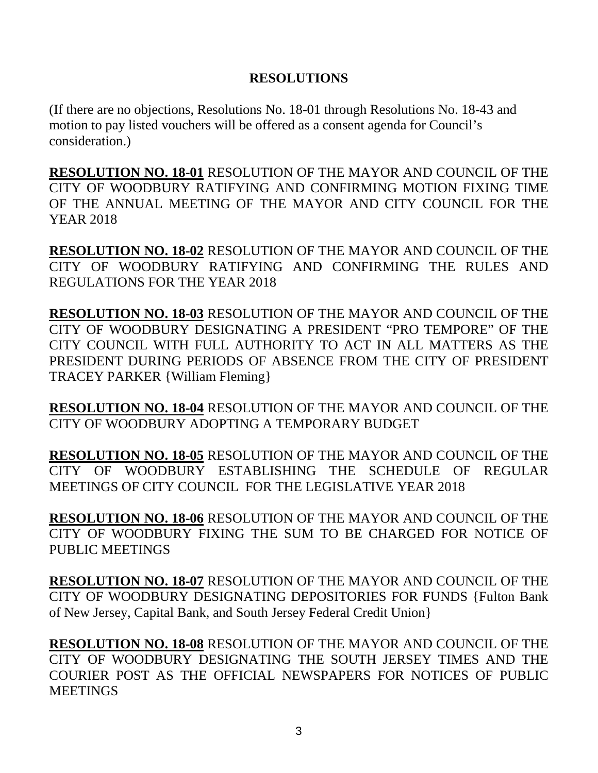## **RESOLUTIONS**

(If there are no objections, Resolutions No. 18-01 through Resolutions No. 18-43 and motion to pay listed vouchers will be offered as a consent agenda for Council's consideration.)

**RESOLUTION NO. 18-01** RESOLUTION OF THE MAYOR AND COUNCIL OF THE CITY OF WOODBURY RATIFYING AND CONFIRMING MOTION FIXING TIME OF THE ANNUAL MEETING OF THE MAYOR AND CITY COUNCIL FOR THE YEAR 2018

**RESOLUTION NO. 18-02** RESOLUTION OF THE MAYOR AND COUNCIL OF THE CITY OF WOODBURY RATIFYING AND CONFIRMING THE RULES AND REGULATIONS FOR THE YEAR 2018

**RESOLUTION NO. 18-03** RESOLUTION OF THE MAYOR AND COUNCIL OF THE CITY OF WOODBURY DESIGNATING A PRESIDENT "PRO TEMPORE" OF THE CITY COUNCIL WITH FULL AUTHORITY TO ACT IN ALL MATTERS AS THE PRESIDENT DURING PERIODS OF ABSENCE FROM THE CITY OF PRESIDENT TRACEY PARKER {William Fleming}

**RESOLUTION NO. 18-04** RESOLUTION OF THE MAYOR AND COUNCIL OF THE CITY OF WOODBURY ADOPTING A TEMPORARY BUDGET

**RESOLUTION NO. 18-05** RESOLUTION OF THE MAYOR AND COUNCIL OF THE CITY OF WOODBURY ESTABLISHING THE SCHEDULE OF REGULAR MEETINGS OF CITY COUNCIL FOR THE LEGISLATIVE YEAR 2018

**RESOLUTION NO. 18-06** RESOLUTION OF THE MAYOR AND COUNCIL OF THE CITY OF WOODBURY FIXING THE SUM TO BE CHARGED FOR NOTICE OF PUBLIC MEETINGS

**RESOLUTION NO. 18-07** RESOLUTION OF THE MAYOR AND COUNCIL OF THE CITY OF WOODBURY DESIGNATING DEPOSITORIES FOR FUNDS {Fulton Bank of New Jersey, Capital Bank, and South Jersey Federal Credit Union}

**RESOLUTION NO. 18-08** RESOLUTION OF THE MAYOR AND COUNCIL OF THE CITY OF WOODBURY DESIGNATING THE SOUTH JERSEY TIMES AND THE COURIER POST AS THE OFFICIAL NEWSPAPERS FOR NOTICES OF PUBLIC **MEETINGS**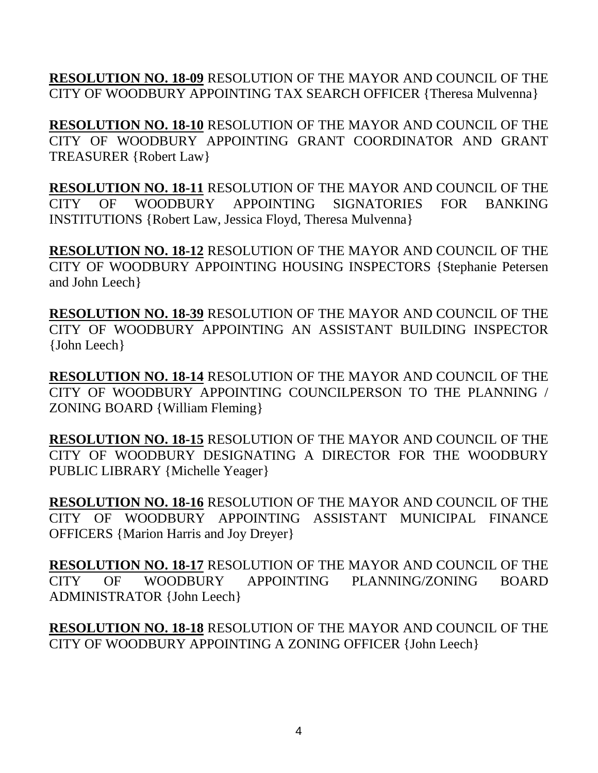**RESOLUTION NO. 18-09** RESOLUTION OF THE MAYOR AND COUNCIL OF THE CITY OF WOODBURY APPOINTING TAX SEARCH OFFICER {Theresa Mulvenna}

**RESOLUTION NO. 18-10** RESOLUTION OF THE MAYOR AND COUNCIL OF THE CITY OF WOODBURY APPOINTING GRANT COORDINATOR AND GRANT TREASURER {Robert Law}

**RESOLUTION NO. 18-11** RESOLUTION OF THE MAYOR AND COUNCIL OF THE CITY OF WOODBURY APPOINTING SIGNATORIES FOR BANKING INSTITUTIONS {Robert Law, Jessica Floyd, Theresa Mulvenna}

**RESOLUTION NO. 18-12** RESOLUTION OF THE MAYOR AND COUNCIL OF THE CITY OF WOODBURY APPOINTING HOUSING INSPECTORS {Stephanie Petersen and John Leech}

**RESOLUTION NO. 18-39** RESOLUTION OF THE MAYOR AND COUNCIL OF THE CITY OF WOODBURY APPOINTING AN ASSISTANT BUILDING INSPECTOR {John Leech}

**RESOLUTION NO. 18-14** RESOLUTION OF THE MAYOR AND COUNCIL OF THE CITY OF WOODBURY APPOINTING COUNCILPERSON TO THE PLANNING / ZONING BOARD {William Fleming}

**RESOLUTION NO. 18-15** RESOLUTION OF THE MAYOR AND COUNCIL OF THE CITY OF WOODBURY DESIGNATING A DIRECTOR FOR THE WOODBURY PUBLIC LIBRARY {Michelle Yeager}

**RESOLUTION NO. 18-16** RESOLUTION OF THE MAYOR AND COUNCIL OF THE CITY OF WOODBURY APPOINTING ASSISTANT MUNICIPAL FINANCE OFFICERS {Marion Harris and Joy Dreyer}

**RESOLUTION NO. 18-17** RESOLUTION OF THE MAYOR AND COUNCIL OF THE CITY OF WOODBURY APPOINTING PLANNING/ZONING BOARD ADMINISTRATOR {John Leech}

**RESOLUTION NO. 18-18** RESOLUTION OF THE MAYOR AND COUNCIL OF THE CITY OF WOODBURY APPOINTING A ZONING OFFICER {John Leech}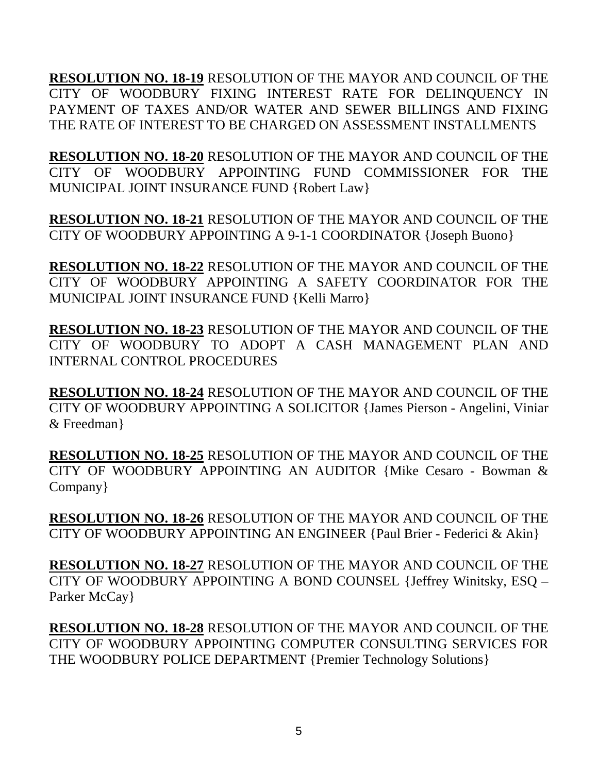**RESOLUTION NO. 18-19** RESOLUTION OF THE MAYOR AND COUNCIL OF THE CITY OF WOODBURY FIXING INTEREST RATE FOR DELINQUENCY IN PAYMENT OF TAXES AND/OR WATER AND SEWER BILLINGS AND FIXING THE RATE OF INTEREST TO BE CHARGED ON ASSESSMENT INSTALLMENTS

**RESOLUTION NO. 18-20** RESOLUTION OF THE MAYOR AND COUNCIL OF THE CITY OF WOODBURY APPOINTING FUND COMMISSIONER FOR THE MUNICIPAL JOINT INSURANCE FUND {Robert Law}

**RESOLUTION NO. 18-21** RESOLUTION OF THE MAYOR AND COUNCIL OF THE CITY OF WOODBURY APPOINTING A 9-1-1 COORDINATOR {Joseph Buono}

**RESOLUTION NO. 18-22** RESOLUTION OF THE MAYOR AND COUNCIL OF THE CITY OF WOODBURY APPOINTING A SAFETY COORDINATOR FOR THE MUNICIPAL JOINT INSURANCE FUND {Kelli Marro}

**RESOLUTION NO. 18-23** RESOLUTION OF THE MAYOR AND COUNCIL OF THE CITY OF WOODBURY TO ADOPT A CASH MANAGEMENT PLAN AND INTERNAL CONTROL PROCEDURES

**RESOLUTION NO. 18-24** RESOLUTION OF THE MAYOR AND COUNCIL OF THE CITY OF WOODBURY APPOINTING A SOLICITOR {James Pierson - Angelini, Viniar & Freedman}

**RESOLUTION NO. 18-25** RESOLUTION OF THE MAYOR AND COUNCIL OF THE CITY OF WOODBURY APPOINTING AN AUDITOR {Mike Cesaro - Bowman & Company}

**RESOLUTION NO. 18-26** RESOLUTION OF THE MAYOR AND COUNCIL OF THE CITY OF WOODBURY APPOINTING AN ENGINEER {Paul Brier - Federici & Akin}

**RESOLUTION NO. 18-27** RESOLUTION OF THE MAYOR AND COUNCIL OF THE CITY OF WOODBURY APPOINTING A BOND COUNSEL {Jeffrey Winitsky, ESQ – Parker McCay }

**RESOLUTION NO. 18-28** RESOLUTION OF THE MAYOR AND COUNCIL OF THE CITY OF WOODBURY APPOINTING COMPUTER CONSULTING SERVICES FOR THE WOODBURY POLICE DEPARTMENT {Premier Technology Solutions}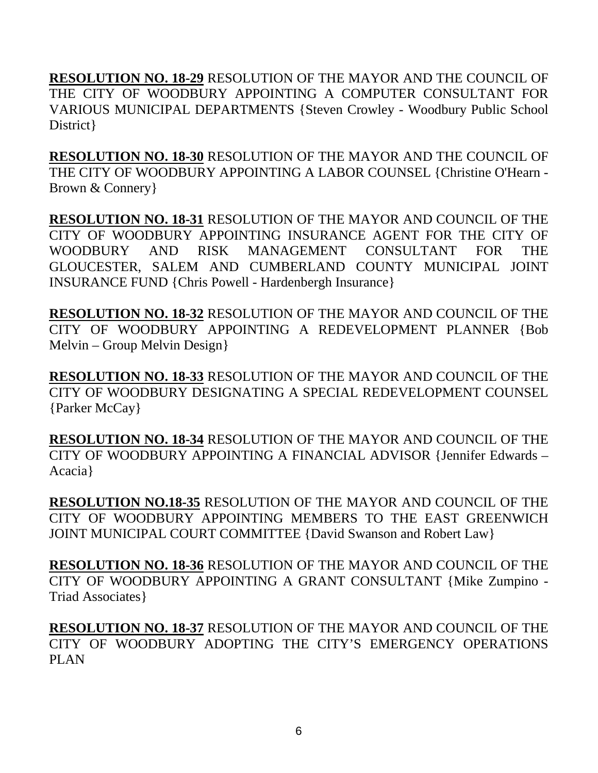**RESOLUTION NO. 18-29** RESOLUTION OF THE MAYOR AND THE COUNCIL OF THE CITY OF WOODBURY APPOINTING A COMPUTER CONSULTANT FOR VARIOUS MUNICIPAL DEPARTMENTS {Steven Crowley - Woodbury Public School District }

**RESOLUTION NO. 18-30** RESOLUTION OF THE MAYOR AND THE COUNCIL OF THE CITY OF WOODBURY APPOINTING A LABOR COUNSEL {Christine O'Hearn - Brown & Connery}

**RESOLUTION NO. 18-31** RESOLUTION OF THE MAYOR AND COUNCIL OF THE CITY OF WOODBURY APPOINTING INSURANCE AGENT FOR THE CITY OF WOODBURY AND RISK MANAGEMENT CONSULTANT FOR THE GLOUCESTER, SALEM AND CUMBERLAND COUNTY MUNICIPAL JOINT INSURANCE FUND {Chris Powell - Hardenbergh Insurance}

**RESOLUTION NO. 18-32** RESOLUTION OF THE MAYOR AND COUNCIL OF THE CITY OF WOODBURY APPOINTING A REDEVELOPMENT PLANNER {Bob Melvin – Group Melvin Design}

**RESOLUTION NO. 18-33** RESOLUTION OF THE MAYOR AND COUNCIL OF THE CITY OF WOODBURY DESIGNATING A SPECIAL REDEVELOPMENT COUNSEL {Parker McCay}

**RESOLUTION NO. 18-34** RESOLUTION OF THE MAYOR AND COUNCIL OF THE CITY OF WOODBURY APPOINTING A FINANCIAL ADVISOR {Jennifer Edwards – Acacia}

**RESOLUTION NO.18-35** RESOLUTION OF THE MAYOR AND COUNCIL OF THE CITY OF WOODBURY APPOINTING MEMBERS TO THE EAST GREENWICH JOINT MUNICIPAL COURT COMMITTEE {David Swanson and Robert Law}

**RESOLUTION NO. 18-36** RESOLUTION OF THE MAYOR AND COUNCIL OF THE CITY OF WOODBURY APPOINTING A GRANT CONSULTANT {Mike Zumpino - Triad Associates}

**RESOLUTION NO. 18-37** RESOLUTION OF THE MAYOR AND COUNCIL OF THE CITY OF WOODBURY ADOPTING THE CITY'S EMERGENCY OPERATIONS PLAN